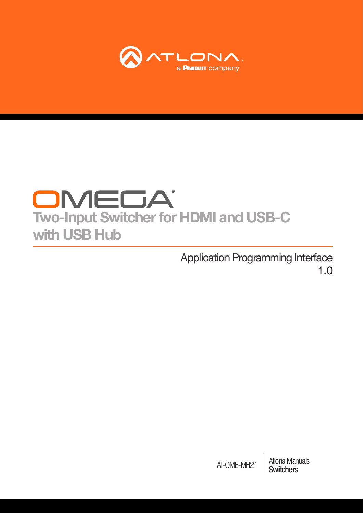

# OMEDA Two-Input Switcher for HDMI and USB-C with USB Hub

Application Programming Interface 1.0

> **Atlona Manuals<br>Switchers** AT-OME-MH21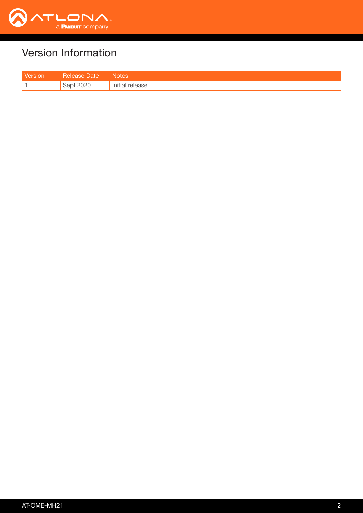

## Version Information

| <b>TAISIOL</b> | vate   | Votes   |
|----------------|--------|---------|
|                | $\sim$ | release |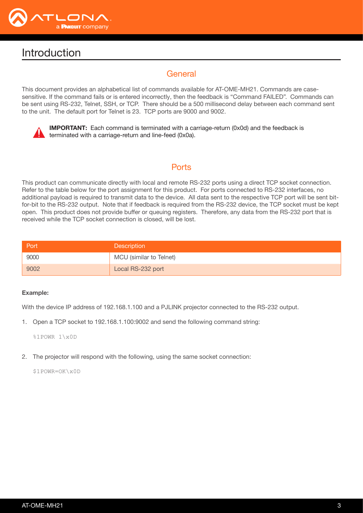

## Introduction

## General

This document provides an alphabetical list of commands available for AT-OME-MH21. Commands are casesensitive. If the command fails or is entered incorrectly, then the feedback is "Command FAILED". Commands can be sent using RS-232, Telnet, SSH, or TCP. There should be a 500 millisecond delay between each command sent to the unit. The default port for Telnet is 23. TCP ports are 9000 and 9002.



IMPORTANT: Each command is terminated with a carriage-return (0x0d) and the feedback is terminated with a carriage-return and line-feed (0x0a).

## **Ports**

This product can communicate directly with local and remote RS-232 ports using a direct TCP socket connection. Refer to the table below for the port assignment for this product. For ports connected to RS-232 interfaces, no additional payload is required to transmit data to the device. All data sent to the respective TCP port will be sent bitfor-bit to the RS-232 output. Note that if feedback is required from the RS-232 device, the TCP socket must be kept open. This product does not provide buffer or queuing registers. Therefore, any data from the RS-232 port that is received while the TCP socket connection is closed, will be lost.

| Port | <b>Description</b>      |
|------|-------------------------|
| 9000 | MCU (similar to Telnet) |
| 9002 | Local RS-232 port       |

#### Example:

With the device IP address of 192.168.1.100 and a PJLINK projector connected to the RS-232 output.

1. Open a TCP socket to 192.168.1.100:9002 and send the following command string:

%1POWR 1\x0D

2. The projector will respond with the following, using the same socket connection:

\$1POWR=OK\x0D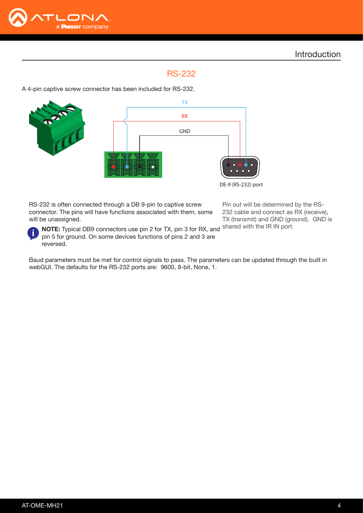

## RS-232

A 4-pin captive screw connector has been included for RS-232.



RS-232 is often connected through a DB 9-pin to captive screw connector. The pins will have functions associated with them, some will be unassigned.

Pin out will be determined by the RS-232 cable and connect as RX (receive), TX (transmit) and GND (ground). GND is



NOTE: Typical DB9 connectors use pin 2 for TX, pin 3 for RX, and shared with the IR IN port. pin 5 for ground. On some devices functions of pins 2 and 3 are reversed.

Baud parameters must be met for control signals to pass. The parameters can be updated through the built in webGUI. The defaults for the RS-232 ports are: 9600, 8-bit, None, 1.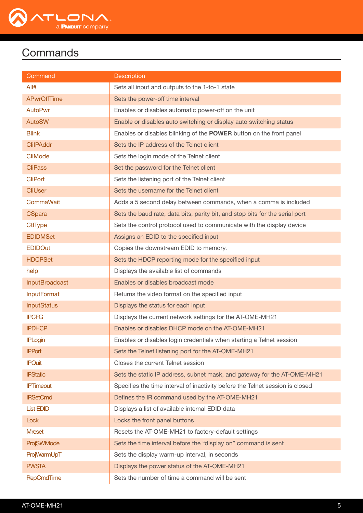

## **Commands**

| Command               | <b>Description</b>                                                            |
|-----------------------|-------------------------------------------------------------------------------|
| All#                  | Sets all input and outputs to the 1-to-1 state                                |
| <b>APwrOffTime</b>    | Sets the power-off time interval                                              |
| <b>AutoPwr</b>        | Enables or disables automatic power-off on the unit                           |
| <b>AutoSW</b>         | Enable or disables auto switching or display auto switching status            |
| <b>Blink</b>          | Enables or disables blinking of the <b>POWER</b> button on the front panel    |
| <b>ClilPAddr</b>      | Sets the IP address of the Telnet client                                      |
| CliMode               | Sets the login mode of the Telnet client                                      |
| <b>CliPass</b>        | Set the password for the Telnet client                                        |
| <b>CliPort</b>        | Sets the listening port of the Telnet client                                  |
| <b>CliUser</b>        | Sets the username for the Telnet client                                       |
| CommaWait             | Adds a 5 second delay between commands, when a comma is included              |
| <b>CSpara</b>         | Sets the baud rate, data bits, parity bit, and stop bits for the serial port  |
| <b>CtlType</b>        | Sets the control protocol used to communicate with the display device         |
| <b>EDIDMSet</b>       | Assigns an EDID to the specified input                                        |
| <b>EDIDOut</b>        | Copies the downstream EDID to memory.                                         |
| <b>HDCPSet</b>        | Sets the HDCP reporting mode for the specified input                          |
| help                  | Displays the available list of commands                                       |
| <b>InputBroadcast</b> | Enables or disables broadcast mode                                            |
| <b>InputFormat</b>    | Returns the video format on the specified input                               |
| <b>InputStatus</b>    | Displays the status for each input                                            |
| <b>IPCFG</b>          | Displays the current network settings for the AT-OME-MH21                     |
| <b>IPDHCP</b>         | Enables or disables DHCP mode on the AT-OME-MH21                              |
| <b>IPLogin</b>        | Enables or disables login credentials when starting a Telnet session          |
| <b>IPPort</b>         | Sets the Telnet listening port for the AT-OME-MH21                            |
| <b>IPQuit</b>         | Closes the current Telnet session                                             |
| <b>IPStatic</b>       | Sets the static IP address, subnet mask, and gateway for the AT-OME-MH21      |
| <b>IPTimeout</b>      | Specifies the time interval of inactivity before the Telnet session is closed |
| <b>IRSetCmd</b>       | Defines the IR command used by the AT-OME-MH21                                |
| <b>List EDID</b>      | Displays a list of available internal EDID data                               |
| Lock                  | Locks the front panel buttons                                                 |
| <b>Mreset</b>         | Resets the AT-OME-MH21 to factory-default settings                            |
| ProjSWMode            | Sets the time interval before the "display on" command is sent                |
| ProjWarmUpT           | Sets the display warm-up interval, in seconds                                 |
| <b>PWSTA</b>          | Displays the power status of the AT-OME-MH21                                  |
| RepCmdTime            | Sets the number of time a command will be sent                                |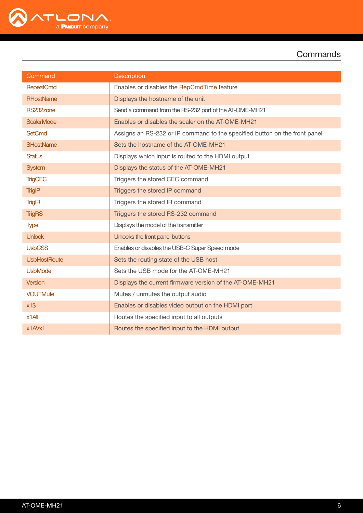

**Commands** 

| Command             | <b>Description</b>                                                         |
|---------------------|----------------------------------------------------------------------------|
| <b>RepeatCmd</b>    | Enables or disables the RepCmdTime feature                                 |
| <b>RHostName</b>    | Displays the hostname of the unit                                          |
| RS232zone           | Send a command from the RS-232 port of the AT-OME-MH21                     |
| <b>ScalerMode</b>   | Enables or disables the scaler on the AT-OME-MH21                          |
| <b>SetCmd</b>       | Assigns an RS-232 or IP command to the specified button on the front panel |
| <b>SHostName</b>    | Sets the hostname of the AT-OME-MH21                                       |
| <b>Status</b>       | Displays which input is routed to the HDMI output                          |
| <b>System</b>       | Displays the status of the AT-OME-MH21                                     |
| <b>TrigCEC</b>      | Triggers the stored CEC command                                            |
| <b>TrigIP</b>       | Triggers the stored IP command                                             |
| <b>TrigIR</b>       | Triggers the stored IR command                                             |
| <b>TrigRS</b>       | Triggers the stored RS-232 command                                         |
| <b>Type</b>         | Displays the model of the transmitter                                      |
| <b>Unlock</b>       | Unlocks the front panel buttons                                            |
| <b>UsbCSS</b>       | Enables or disables the USB-C Super Speed mode                             |
| <b>UsbHostRoute</b> | Sets the routing state of the USB host                                     |
| <b>UsbMode</b>      | Sets the USB mode for the AT-OME-MH21                                      |
| Version             | Displays the current firmware version of the AT-OME-MH21                   |
| <b>VOUTMute</b>     | Mutes / unmutes the output audio                                           |
| $x1\$               | Enables or disables video output on the HDMI port                          |
| $x1$ All            | Routes the specified input to all outputs                                  |
| x1AVx1              | Routes the specified input to the HDMI output                              |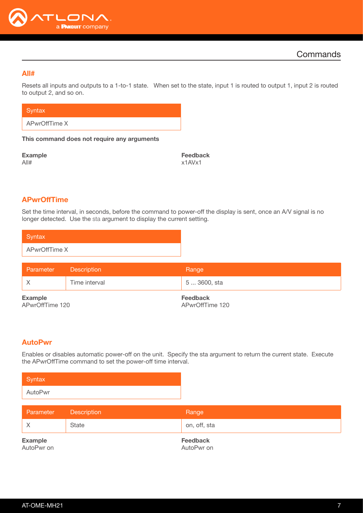

#### <span id="page-6-0"></span>All#

Resets all inputs and outputs to a 1-to-1 state. When set to the state, input 1 is routed to output 1, input 2 is routed to output 2, and so on.

**Syntax** 

APwrOffTime X

This command does not require any arguments

Example All#

Feedback x1AVx1

## <span id="page-6-1"></span>APwrOffTime

Set the time interval, in seconds, before the command to power-off the display is sent, once an A/V signal is no longer detected. Use the sta argument to display the current setting.

| Syntax        |  |
|---------------|--|
| APwrOffTime X |  |

| Parameter                         | <b>Description</b> | Range                       |
|-----------------------------------|--------------------|-----------------------------|
|                                   | Time interval      | 5  3600, sta                |
| <b>Example</b><br>APwrOffTime 120 |                    | Feedback<br>APwrOffTime 120 |

#### <span id="page-6-2"></span>AutoPwr

Enables or disables automatic power-off on the unit. Specify the sta argument to return the current state. Execute the APwrOffTime command to set the power-off time interval.

| Syntax  |  |
|---------|--|
| AutoPwr |  |

| Parameter                    | <b>Description</b> | Range                         |
|------------------------------|--------------------|-------------------------------|
|                              | State              | on, off, sta                  |
| <b>Example</b><br>AutoPwr on |                    | <b>Feedback</b><br>AutoPwr on |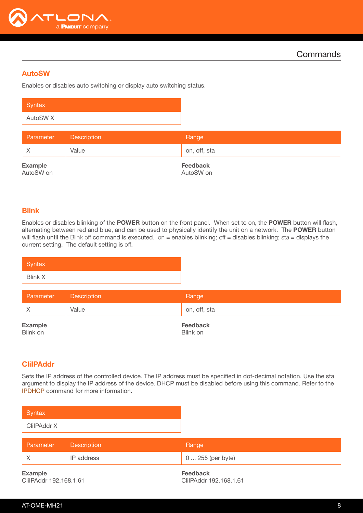

## <span id="page-7-0"></span>AutoSW

Enables or disables auto switching or display auto switching status.

| Syntax                      |                    |                              |
|-----------------------------|--------------------|------------------------------|
| AutoSW <sub>X</sub>         |                    |                              |
| Parameter                   | <b>Description</b> | Range                        |
| $\mathsf{X}$                | Value              | on, off, sta                 |
| <b>Example</b><br>AutoSW on |                    | <b>Feedback</b><br>AutoSW on |

#### <span id="page-7-1"></span>Blink

Enables or disables blinking of the POWER button on the front panel. When set to on, the POWER button will flash, alternating between red and blue, and can be used to physically identify the unit on a network. The POWER button will flash until the Blink off command is executed. on = enables blinking; off = disables blinking; sta = displays the current setting. The default setting is off.

| Syntax         |  |  |  |
|----------------|--|--|--|
| <b>Blink X</b> |  |  |  |

| Parameter                  | Description | Range                       |
|----------------------------|-------------|-----------------------------|
|                            | Value       | on, off, sta                |
| <b>Example</b><br>Blink on |             | <b>Feedback</b><br>Blink on |

#### <span id="page-7-2"></span>CliIPAddr

Sets the IP address of the controlled device. The IP address must be specified in dot-decimal notation. Use the sta argument to display the IP address of the device. DHCP must be disabled before using this command. Refer to the [IPDHCP](#page-14-1) command for more information.

| Syntax         |                    |                   |
|----------------|--------------------|-------------------|
| ClilPAddr X    |                    |                   |
|                |                    |                   |
| Parameter      | <b>Description</b> | Range             |
| $\times$       | IP address         | 0  255 (per byte) |
| <b>Example</b> |                    | <b>Feedback</b>   |

CliIPAddr 192.168.1.61

CliIPAddr 192.168.1.61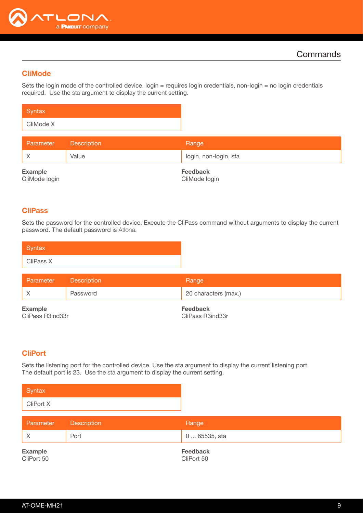

## <span id="page-8-0"></span>CliMode

Sets the login mode of the controlled device. login = requires login credentials, non-login = no login credentials required. Use the sta argument to display the current setting.

| Syntax    |  |
|-----------|--|
| CliMode X |  |

| Parameter                       | <b>Description</b> | Range                            |
|---------------------------------|--------------------|----------------------------------|
|                                 | Value              | login, non-login, sta            |
| <b>Example</b><br>CliMode login |                    | <b>Feedback</b><br>CliMode login |

#### <span id="page-8-1"></span>**CliPass**

Sets the password for the controlled device. Execute the CliPass command without arguments to display the current password. The default password is Atlona.

| Syntax    |  |  |
|-----------|--|--|
| CliPass X |  |  |

| Parameter                          | Description | Range                               |
|------------------------------------|-------------|-------------------------------------|
|                                    | Password    | 20 characters (max.)                |
| <b>Example</b><br>CliPass R3ind33r |             | <b>Feedback</b><br>CliPass R3ind33r |

## <span id="page-8-2"></span>CliPort

Sets the listening port for the controlled device. Use the sta argument to display the current listening port. The default port is 23. Use the sta argument to display the current setting.



| Parameter                    | Description | Range                         |  |
|------------------------------|-------------|-------------------------------|--|
|                              | Port        | 0  65535, sta                 |  |
| <b>Example</b><br>CliPort 50 |             | <b>Feedback</b><br>CliPort 50 |  |

AT-OME-MH21 9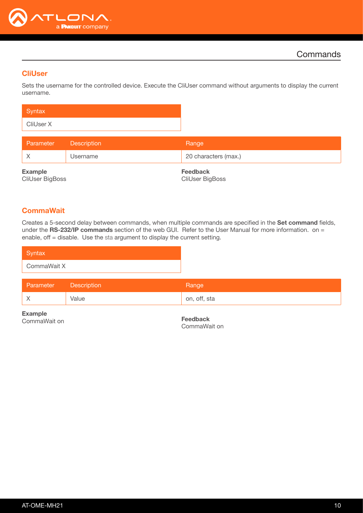

## <span id="page-9-0"></span>**CliUser**

Sets the username for the controlled device. Execute the CliUser command without arguments to display the current username.

| Syntax    |  |
|-----------|--|
| CliUser X |  |

| Parameter                         | <b>Description</b> | Range                              |
|-----------------------------------|--------------------|------------------------------------|
|                                   | Username           | 20 characters (max.)               |
| <b>Example</b><br>CliUser BigBoss |                    | <b>Feedback</b><br>CliUser BigBoss |

## <span id="page-9-1"></span>**CommaWait**

Creates a 5-second delay between commands, when multiple commands are specified in the Set command fields, under the RS-232/IP commands section of the web GUI. Refer to the User Manual for more information. on = enable, off = disable. Use the sta argument to display the current setting.

| Syntax      |                    |              |
|-------------|--------------------|--------------|
| CommaWait X |                    |              |
| Parameter   | <b>Description</b> | Range        |
| Χ           | Value              | on, off, sta |

Example CommaWait on

Feedback CommaWait on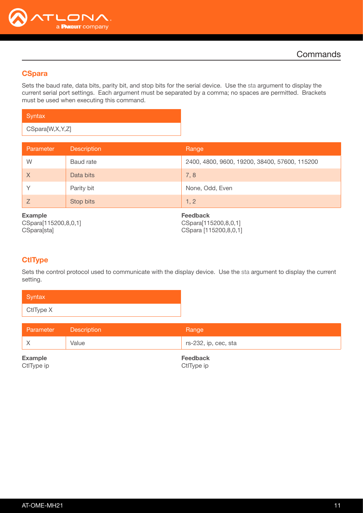

## <span id="page-10-0"></span>**CSpara**

Sets the baud rate, data bits, parity bit, and stop bits for the serial device. Use the sta argument to display the current serial port settings. Each argument must be separated by a comma; no spaces are permitted. Brackets must be used when executing this command.

| Syntax          |  |
|-----------------|--|
| CSpara[W,X,Y,Z] |  |

| Parameter                                             | <b>Description</b> | Range                                                            |
|-------------------------------------------------------|--------------------|------------------------------------------------------------------|
| W                                                     | Baud rate          | 2400, 4800, 9600, 19200, 38400, 57600, 115200                    |
| $\times$                                              | Data bits          | 7,8                                                              |
| V                                                     | Parity bit         | None, Odd, Even                                                  |
| Z                                                     | Stop bits          | 1, 2                                                             |
| <b>Example</b><br>CSpara[115200,8,0,1]<br>CSpara[sta] |                    | <b>Feedback</b><br>CSpara[115200,8,0,1]<br>CSpara [115200,8,0,1] |

## <span id="page-10-1"></span>**CtlType**

Sets the control protocol used to communicate with the display device. Use the sta argument to display the current setting.

| Syntax    |  |
|-----------|--|
| CtlType X |  |

| <b>Parameter</b> Description | Range                |
|------------------------------|----------------------|
| Value                        | rs-232, ip, cec, sta |

Example CtlType ip Feedback CtlType ip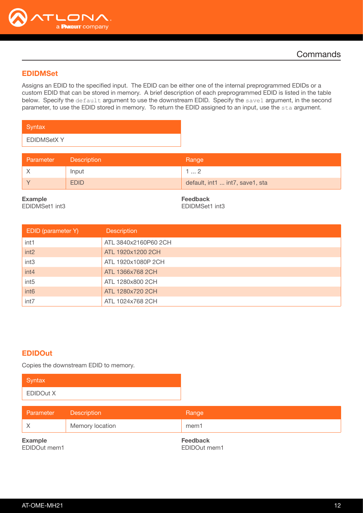

## <span id="page-11-0"></span>EDIDMSet

Assigns an EDID to the specified input. The EDID can be either one of the internal preprogrammed EDIDs or a custom EDID that can be stored in memory. A brief description of each preprogrammed EDID is listed in the table below. Specify the default argument to use the downstream EDID. Specify the save1 argument, in the second parameter, to use the EDID stored in memory. To return the EDID assigned to an input, use the sta argument.

| Syntax            |
|-------------------|
| <b>EDIDMSetXY</b> |

| <b>Parameter</b> | <b>Description</b> | Range                           |
|------------------|--------------------|---------------------------------|
|                  | Input              | . 2                             |
|                  | <b>EDID</b>        | default, int1  int7, save1, sta |

Example

EDIDMSet1 int3

Feedback EDIDMSet1 int3

| EDID (parameter Y) | <b>Description</b>   |
|--------------------|----------------------|
| int1               | ATL 3840x2160P60 2CH |
| int <sub>2</sub>   | ATL 1920x1200 2CH    |
| int <sub>3</sub>   | ATL 1920x1080P 2CH   |
| int4               | ATL 1366x768 2CH     |
| int <sub>5</sub>   | ATL 1280x800 2CH     |
| int <sub>6</sub>   | ATL 1280x720 2CH     |
| int7               | ATL 1024x768 2CH     |

#### <span id="page-11-1"></span>EDIDOut

Copies the downstream EDID to memory.

| Syntax           |  |
|------------------|--|
| <b>EDIDOut X</b> |  |

| Parameter                      | <b>Description</b> | Range                    |
|--------------------------------|--------------------|--------------------------|
|                                | Memory location    | mem1                     |
| <b>Example</b><br>EDIDOut mem1 |                    | Feedback<br>EDIDOut mem1 |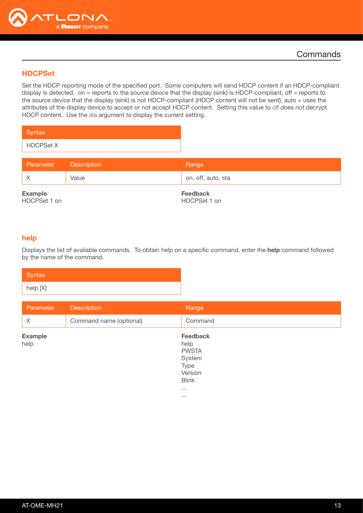

## <span id="page-12-0"></span>**HDCPSet**

Set the HDCP reporting mode of the specified port. Some computers will send HDCP content if an HDCP-compliant display is detected. on = reports to the source device that the display (sink) is HDCP-compliant, off = reports to the source device that the display (sink) is not HDCP-compliant (HDCP content will not be sent), auto = uses the attributes of the display device to accept or not accept HDCP content. Setting this value to off *does not* decrypt HDCP content. Use the sta argument to display the current setting.

| Syntax           |  |
|------------------|--|
| <b>HDCPSet X</b> |  |

| Parameter Description |       | Range              |
|-----------------------|-------|--------------------|
|                       | Value | on, off, auto, sta |
| $\equiv$              |       | $\sim$             |

Example HDCPSet 1 on Feedback HDCPSet 1 on

#### <span id="page-12-1"></span>help

Displays the list of available commands. To obtain help on a specific command, enter the help command followed by the name of the command.

| Syntax   |  |
|----------|--|
| help [X] |  |

| Parameter              | <b>Description</b>      | Range                                                                                                          |
|------------------------|-------------------------|----------------------------------------------------------------------------------------------------------------|
| $\times$               | Command name (optional) | Command                                                                                                        |
| <b>Example</b><br>help |                         | Feedback<br>help<br><b>PWSTA</b><br>System<br>Type<br>Version<br><b>Blink</b><br>$\sim 100$<br>$\sim$ 10 $\pm$ |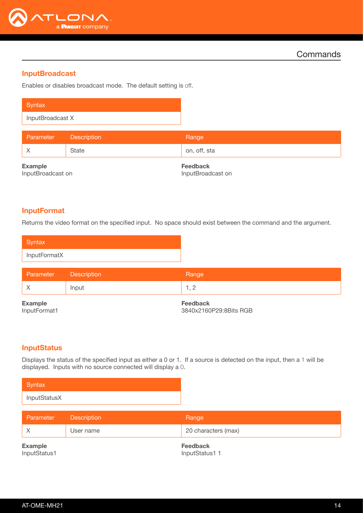

## <span id="page-13-0"></span>**InputBroadcast**

Enables or disables broadcast mode. The default setting is off.

| Syntax           |             |                 |
|------------------|-------------|-----------------|
| InputBroadcast X |             |                 |
| Parameter        | Description | Range           |
| $\times$         | State       | on, off, sta    |
| <b>Example</b>   |             | <b>Feedback</b> |

InputBroadcast on

Feedback InputBroadcast on

#### <span id="page-13-1"></span>InputFormat

Returns the video format on the specified input. No space should exist between the command and the argument.

| Syntax       |  |  |
|--------------|--|--|
| InputFormatX |  |  |

| Parameter      | Description | Range           |
|----------------|-------------|-----------------|
|                | Input       | .               |
| <b>Example</b> |             | <b>Feedback</b> |

InputFormat1

Feedback 3840x2160P29:8Bits RGB

#### <span id="page-13-2"></span>**InputStatus**

Displays the status of the specified input as either a 0 or 1. If a source is detected on the input, then a 1 will be displayed. Inputs with no source connected will display a 0.

| Syntax       |
|--------------|
| InputStatusX |

| <b>Parameter</b>         | <b>Description</b> | Range               |
|--------------------------|--------------------|---------------------|
|                          | User name          | 20 characters (max) |
| المناسب ويستحدث والتناقي |                    | For a alla a called |

Example InputStatus1 Feedback InputStatus1 1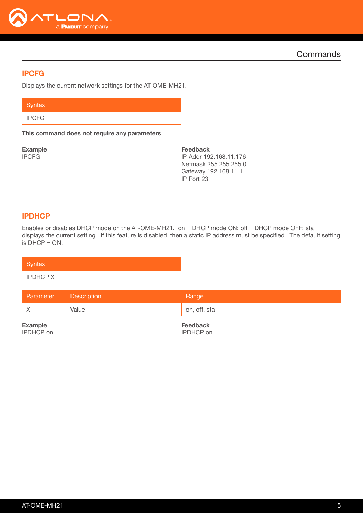

**Commands** 

## <span id="page-14-0"></span>IPCFG

Displays the current network settings for the AT-OME-MH21.

**Syntax** 

IPCFG

This command does not require any parameters

Example IPCFG

Feedback IP Addr 192.168.11.176 Netmask 255.255.255.0 Gateway 192.168.11.1 IP Port 23

## <span id="page-14-1"></span>IPDHCP

Enables or disables DHCP mode on the AT-OME-MH21. on = DHCP mode ON; off = DHCP mode OFF; sta = displays the current setting. If this feature is disabled, then a static IP address must be specified. The default setting  $is$  DHCP = ON.

| Syntax          |  |  |
|-----------------|--|--|
| <b>IPDHCP X</b> |  |  |

| Parameter<br><b>Description</b> | Range        |
|---------------------------------|--------------|
| Value                           | on, off, sta |

Example IPDHCP on Feedback IPDHCP on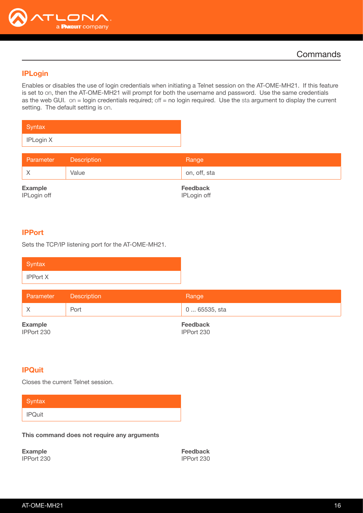

## <span id="page-15-0"></span>IPLogin

Enables or disables the use of login credentials when initiating a Telnet session on the AT-OME-MH21. If this feature is set to on, then the AT-OME-MH21 will prompt for both the username and password. Use the same credentials as the web GUI. on = login credentials required; off = no login required. Use the sta argument to display the current setting. The default setting is on.

| Syntax    |  |
|-----------|--|
| IPLogin X |  |

| Parameter Description |       | Range        |
|-----------------------|-------|--------------|
|                       | Value | on, off, sta |

Example IPLogin off Feedback IPLogin off

#### <span id="page-15-1"></span>IPPort

Sets the TCP/IP listening port for the AT-OME-MH21.

| Syntax          |  |
|-----------------|--|
| <b>IPPort X</b> |  |

| Parameter      | <b>Description</b> | Range           |
|----------------|--------------------|-----------------|
|                | Port               | 0  65535, sta   |
| <b>Example</b> |                    | <b>Feedback</b> |

IPPort 230

IPPort 230

## <span id="page-15-2"></span>**IPQuit**

Closes the current Telnet session.

| Syntax        |  |  |  |
|---------------|--|--|--|
| <b>IPQuit</b> |  |  |  |

This command does not require any arguments

Example IPPort 230 Feedback IPPort 230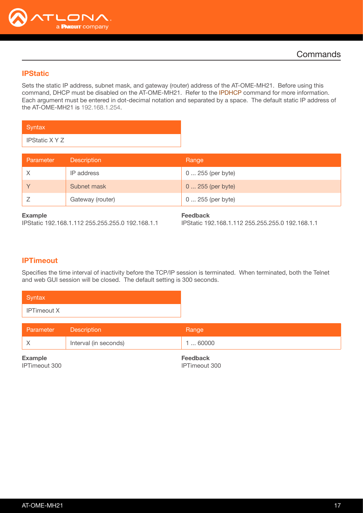

## <span id="page-16-0"></span>**IPStatic**

Sets the static IP address, subnet mask, and gateway (router) address of the AT-OME-MH21. Before using this command, DHCP must be disabled on the AT-OME-MH21. Refer to the [IPDHCP](#page-14-1) command for more information. Each argument must be entered in dot-decimal notation and separated by a space. The default static IP address of the AT-OME-MH21 is 192.168.1.254.

| Syntax         |  |
|----------------|--|
| IPStatic X Y Z |  |

| Parameter      | <b>Description</b> | Range             |
|----------------|--------------------|-------------------|
| X              | IP address         | 0  255 (per byte) |
|                | Subnet mask        | 0  255 (per byte) |
|                | Gateway (router)   | 0  255 (per byte) |
| <b>Example</b> |                    | <b>Feedback</b>   |

IPStatic 192.168.1.112 255.255.255.0 192.168.1.1

IPStatic 192.168.1.112 255.255.255.0 192.168.1.1

## <span id="page-16-1"></span>**IPTimeout**

Specifies the time interval of inactivity before the TCP/IP session is terminated. When terminated, both the Telnet and web GUI session will be closed. The default setting is 300 seconds.

| Parameter | <b>Description</b>    | Range         |
|-----------|-----------------------|---------------|
|           | Interval (in seconds) | $\dots$ 60000 |

Example IPTimeout 300 Feedback IPTimeout 300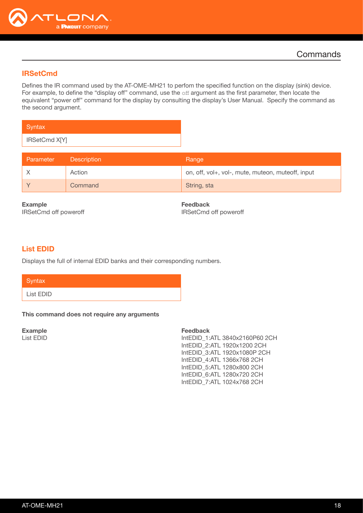

## <span id="page-17-0"></span>IRSetCmd

Defines the IR command used by the AT-OME-MH21 to perfom the specified function on the display (sink) device. For example, to define the "display off" command, use the off argument as the first parameter, then locate the equivalent "power off" command for the display by consulting the display's User Manual. Specify the command as the second argument.

| Syntax        |  |
|---------------|--|
| IRSetCmd X[Y] |  |

| Parameter | <b>Description</b> | Range                                             |
|-----------|--------------------|---------------------------------------------------|
|           | Action             | on, off, vol+, vol-, mute, muteon, muteoff, input |
|           | Command            | String, sta                                       |

Example IRSetCmd off poweroff Feedback IRSetCmd off poweroff

## <span id="page-17-1"></span>List EDID

Displays the full of internal EDID banks and their corresponding numbers.

| Syntax    |  |  |
|-----------|--|--|
| List EDID |  |  |

#### This command does not require any arguments

Example List EDID

#### Feedback

IntEDID\_1:ATL 3840x2160P60 2CH IntEDID\_2:ATL 1920x1200 2CH IntEDID\_3:ATL 1920x1080P 2CH IntEDID\_4:ATL 1366x768 2CH IntEDID\_5:ATL 1280x800 2CH IntEDID\_6:ATL 1280x720 2CH IntEDID\_7:ATL 1024x768 2CH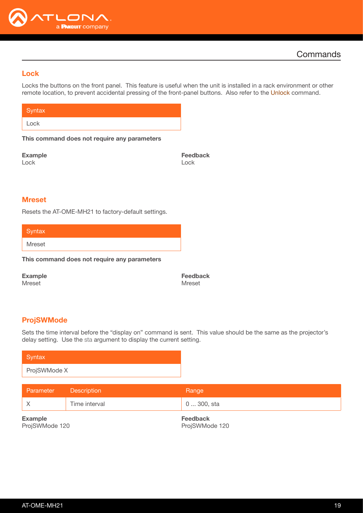

## <span id="page-18-0"></span>Lock

Locks the buttons on the front panel. This feature is useful when the unit is installed in a rack environment or other remote location, to prevent accidental pressing of the front-panel buttons. Also refer to the [Unlock](#page-25-2) command.

| Syntax <sup>1</sup> |  |
|---------------------|--|
| Lock                |  |

This command does not require any parameters

Example Lock

Feedback Lock

#### <span id="page-18-1"></span>Mreset

Resets the AT-OME-MH21 to factory-default settings.

**Syntax** 

Mreset

This command does not require any parameters

Example

Mreset

Feedback Mreset

#### <span id="page-18-2"></span>ProjSWMode

Sets the time interval before the "display on" command is sent. This value should be the same as the projector's delay setting. Use the sta argument to display the current setting.

| Syntax                           |                    |                                   |
|----------------------------------|--------------------|-----------------------------------|
| ProjSWMode X                     |                    |                                   |
| Parameter                        | <b>Description</b> | Range                             |
| $\times$                         | Time interval      | 0  300, sta                       |
| <b>Example</b><br>ProjSWMode 120 |                    | <b>Feedback</b><br>ProjSWMode 120 |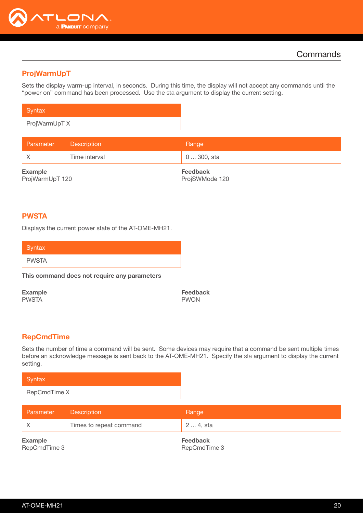

## <span id="page-19-0"></span>ProjWarmUpT

Sets the display warm-up interval, in seconds. During this time, the display will not accept any commands until the "power on" command has been processed. Use the sta argument to display the current setting.

| Syntax        |
|---------------|
| ProjWarmUpT X |

| <b>Parameter</b>      | <b>Description</b> | Range                   |
|-----------------------|--------------------|-------------------------|
|                       | Time interval      | 0  300, sta             |
| <b>Example</b><br>_ _ |                    | <b>Feedback</b><br>_ ._ |

ProjWarmUpT 120

ProjSWMode 120

## <span id="page-19-1"></span>PWSTA

Displays the current power state of the AT-OME-MH21.

| Syntax <sup>1</sup> |  |  |  |
|---------------------|--|--|--|
| <b>PWSTA</b>        |  |  |  |

#### This command does not require any parameters

Example PWSTA

Feedback PWON

#### <span id="page-19-2"></span>RepCmdTime

Sets the number of time a command will be sent. Some devices may require that a command be sent multiple times before an acknowledge message is sent back to the AT-OME-MH21. Specify the sta argument to display the current setting.

| Syntax       |
|--------------|
| RepCmdTime X |

| Parameter                      | <b>Description</b>      | Range                           |
|--------------------------------|-------------------------|---------------------------------|
|                                | Times to repeat command | 2  4, sta                       |
| <b>Example</b><br>RepCmdTime 3 |                         | <b>Feedback</b><br>RepCmdTime 3 |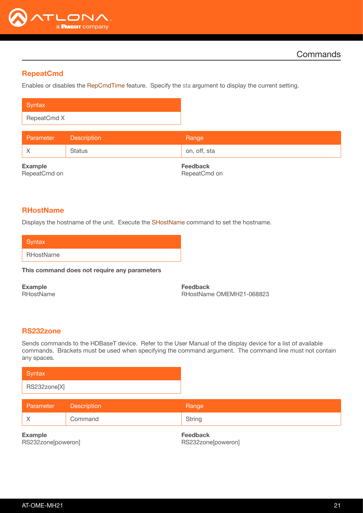

## <span id="page-20-0"></span>**RepeatCmd**

Enables or disables the [RepCmdTime](#page-19-2) feature. Specify the sta argument to display the current setting.

| Syntax      |  |
|-------------|--|
| RepeatCmd X |  |

| Parameter | <b>Description</b> | Range        |
|-----------|--------------------|--------------|
|           | <b>Status</b>      | on, off, sta |
|           |                    |              |

Example RepeatCmd on Feedback RepeatCmd on

#### <span id="page-20-1"></span>**RHostName**

Displays the hostname of the unit. Execute the [SHostName](#page-22-0) command to set the hostname.

| Syntax    |  |
|-----------|--|
| RHostName |  |

This command does not require any parameters

Example RHostName Feedback RHostName OMEMH21-068823

#### <span id="page-20-2"></span>RS232zone

Sends commands to the HDBaseT device. Refer to the User Manual of the display device for a list of available commands. Brackets must be used when specifying the command argument. The command line must not contain any spaces.



| Parameter | <b>Description</b> | Range  |
|-----------|--------------------|--------|
|           | Command            | String |

Example RS232zone[poweron] Feedback RS232zone[poweron]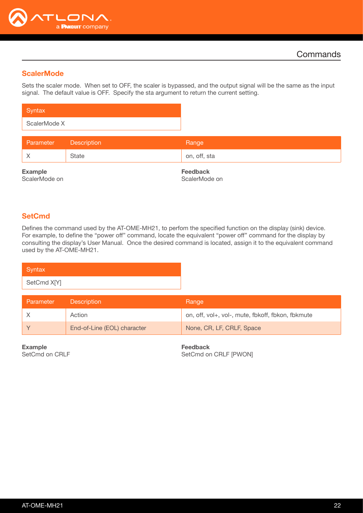

## <span id="page-21-0"></span>**ScalerMode**

Sets the scaler mode. When set to OFF, the scaler is bypassed, and the output signal will be the same as the input signal. The default value is OFF. Specify the sta argument to return the current setting.

| Syntax       |  |
|--------------|--|
| ScalerMode X |  |

| Parameter                       | <b>Description</b> | Range                            |
|---------------------------------|--------------------|----------------------------------|
|                                 | State              | on, off, sta                     |
| <b>Example</b><br>ScalerMode on |                    | <b>Feedback</b><br>ScalerMode on |

## <span id="page-21-1"></span>**SetCmd**

Defines the command used by the AT-OME-MH21, to perfom the specified function on the display (sink) device. For example, to define the "power off" command, locate the equivalent "power off" command for the display by consulting the display's User Manual. Once the desired command is located, assign it to the equivalent command used by the AT-OME-MH21.

| Syntax      |  |  |
|-------------|--|--|
| SetCmd X[Y] |  |  |

| Parameter | <b>Description</b>          | Range                                             |
|-----------|-----------------------------|---------------------------------------------------|
|           | Action                      | on, off, vol+, vol-, mute, fbkoff, fbkon, fbkmute |
|           | End-of-Line (EOL) character | None, CR, LF, CRLF, Space                         |

Example SetCmd on CRLF Feedback SetCmd on CRLF [PWON]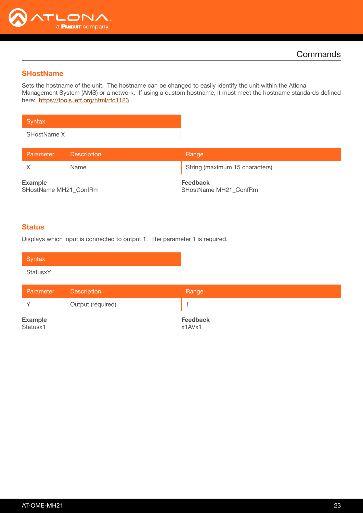

## <span id="page-22-0"></span>**SHostName**

Sets the hostname of the unit. The hostname can be changed to easily identify the unit within the Atlona Management System (AMS) or a network. If using a custom hostname, it must meet the hostname standards defined here: <https://tools.ietf.org/html/rfc1123>

**Syntax** SHostName X

| Parameter      | <b>Description</b> | Range                          |
|----------------|--------------------|--------------------------------|
|                | Name               | String (maximum 15 characters) |
| <b>Example</b> |                    | <b>Feedback</b>                |

SHostName MH21\_ConfRm

Feedback SHostName MH21\_ConfRm

#### <span id="page-22-1"></span>**Status**

Displays which input is connected to output 1. The parameter 1 is required.

| Syntax                     |                    |                           |
|----------------------------|--------------------|---------------------------|
| StatusxY                   |                    |                           |
| Parameter                  | <b>Description</b> | Range                     |
| $\checkmark$               | Output (required)  |                           |
| <b>Example</b><br>Statusx1 |                    | <b>Feedback</b><br>x1AVx1 |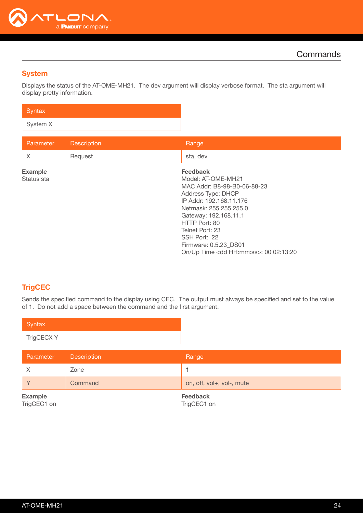

## <span id="page-23-0"></span>**System**

Displays the status of the AT-OME-MH21. The dev argument will display verbose format. The sta argument will display pretty information.

| Syntax   |  |  |
|----------|--|--|
| System X |  |  |

| Parameter      | <b>Description</b> | Range                                         |
|----------------|--------------------|-----------------------------------------------|
| X              | Request            | sta, dev                                      |
| <b>Example</b> |                    | <b>Feedback</b>                               |
| Status sta     |                    | Model: AT-OME-MH21                            |
|                |                    | MAC Addr: B8-98-B0-06-88-23                   |
|                |                    | Address Type: DHCP                            |
|                |                    | IP Addr: 192.168.11.176                       |
|                |                    | Netmask: 255.255.255.0                        |
|                |                    | Gateway: 192.168.11.1                         |
|                |                    | HTTP Port: 80                                 |
|                |                    | Telnet Port: 23                               |
|                |                    | SSH Port: 22                                  |
|                |                    | Firmware: 0.5.23 DS01                         |
|                |                    | On/Up Time <dd hh:mm:ss="">: 00 02:13:20</dd> |

## <span id="page-23-1"></span>**TrigCEC**

Sends the specified command to the display using CEC. The output must always be specified and set to the value of 1. Do not add a space between the command and the first argument.

| Syntax     |  |
|------------|--|
| TrigCECX Y |  |
|            |  |

| Parameter                     | Description | Range                          |
|-------------------------------|-------------|--------------------------------|
|                               | Zone        |                                |
|                               | Command     | on, off, vol+, vol-, mute      |
| <b>Example</b><br>TrigCEC1 on |             | <b>Feedback</b><br>TrigCEC1 on |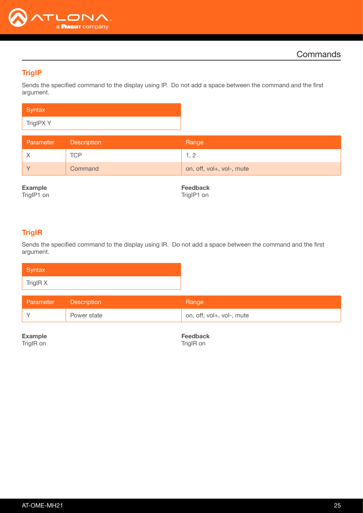

## <span id="page-24-0"></span>**TrigIP**

Sends the specified command to the display using IP. Do not add a space between the command and the first argument.

| Syntax    |  |
|-----------|--|
| TrigIPX Y |  |

| Parameter | <b>Description</b> | Range                     |
|-----------|--------------------|---------------------------|
|           | TCP                |                           |
|           | Command            | on, off, vol+, vol-, mute |

Example

TrigIP1 on

Feedback TrigIP1 on

## <span id="page-24-1"></span>**TrigIR**

Sends the specified command to the display using IR. Do not add a space between the command and the first argument.

| Syntax   |  |
|----------|--|
| TrigIR X |  |

| Parameter | <b>Description</b> | Range                     |
|-----------|--------------------|---------------------------|
|           | Power state        | on, off, vol+, vol-, mute |

Example TrigIR on

Feedback TrigIR on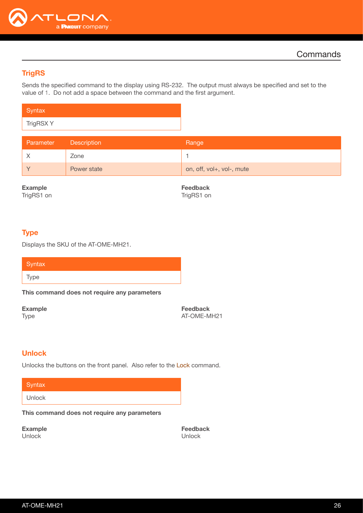

## <span id="page-25-0"></span>**TrigRS**

Sends the specified command to the display using RS-232. The output must always be specified and set to the value of 1. Do not add a space between the command and the first argument.

| Syntax    |  |
|-----------|--|
| TrigRSX Y |  |

| Parameter | Description | Range                     |
|-----------|-------------|---------------------------|
|           | Zone        |                           |
|           | Power state | on, off, vol+, vol-, mute |

Example

TrigRS1 on

Feedback TrigRS1 on

#### <span id="page-25-1"></span>Type

Displays the SKU of the AT-OME-MH21.

| Syntax |  |  |  |
|--------|--|--|--|
| Type   |  |  |  |

This command does not require any parameters

Example Type

Feedback AT-OME-MH21

#### <span id="page-25-2"></span>Unlock

Unlocks the buttons on the front panel. Also refer to the Lock command.

#### **Syntax**

Unlock

This command does not require any parameters

Example Unlock

Feedback Unlock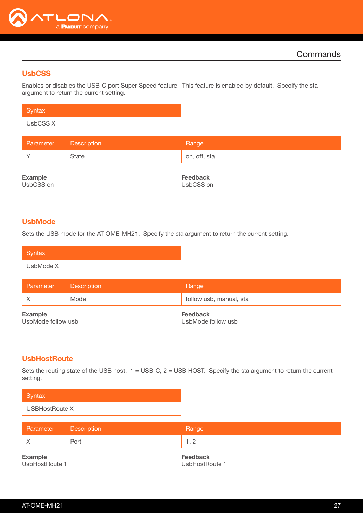

## <span id="page-26-0"></span>**UsbCSS**

Enables or disables the USB-C port Super Speed feature. This feature is enabled by default. Specify the sta argument to return the current setting.

| Syntax   |  |
|----------|--|
| UsbCSS X |  |

| Parameter | <b>Description</b> | Range        |
|-----------|--------------------|--------------|
|           | State              | on, off, sta |

Example

UsbCSS on

Feedback UsbCSS on

## <span id="page-26-2"></span>UsbMode

Sets the USB mode for the AT-OME-MH21. Specify the sta argument to return the current setting.

| Syntax    |  |
|-----------|--|
| UsbMode X |  |

| Parameter                            | <b>Description</b> | Range                                 |
|--------------------------------------|--------------------|---------------------------------------|
|                                      | Mode               | follow usb, manual, sta               |
| <b>Example</b><br>UsbMode follow usb |                    | <b>Feedback</b><br>UsbMode follow usb |

## <span id="page-26-1"></span>**UsbHostRoute**

Sets the routing state of the USB host.  $1 =$  USB-C,  $2 =$  USB HOST. Specify the sta argument to return the current setting.

| Syntax         |  |
|----------------|--|
| USBHostRoute X |  |

| Parameter | <b>Description</b> | Range     |
|-----------|--------------------|-----------|
|           | Port               |           |
| Eveninia  |                    | Esselbook |

Example UsbHostRoute 1

Feedback UsbHostRoute 1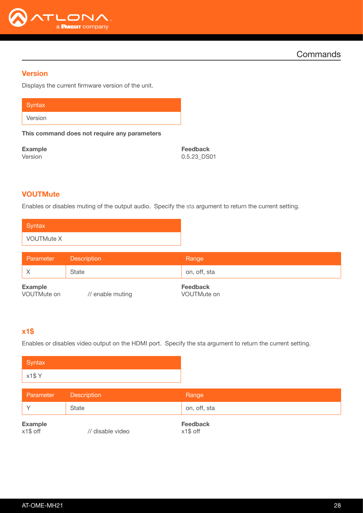

**Commands** 

#### <span id="page-27-0"></span>**Version**

Displays the current firmware version of the unit.

**Syntax** 

Version

This command does not require any parameters

Example Version

Feedback 0.5.23\_DS01

## <span id="page-27-1"></span>**VOUTMute**

Enables or disables muting of the output audio. Specify the sta argument to return the current setting.

| Syntax            |  |
|-------------------|--|
| <b>VOUTMute X</b> |  |

| Parameter                     | <b>Description</b> | Range                          |
|-------------------------------|--------------------|--------------------------------|
|                               | State              | on, off, sta                   |
| <b>Example</b><br>VOUTMute on | // enable muting   | <b>Feedback</b><br>VOUTMute on |

## <span id="page-27-2"></span>x1\$

Enables or disables video output on the HDMI port. Specify the sta argument to return the current setting.

| Syntax |
|--------|
| x1\$Y  |
|        |

| Parameter                  | <b>Description</b> | Range                       |
|----------------------------|--------------------|-----------------------------|
|                            | State              | on, off, sta                |
| <b>Example</b><br>x1\$ off | // disable video   | <b>Feedback</b><br>x1\$ off |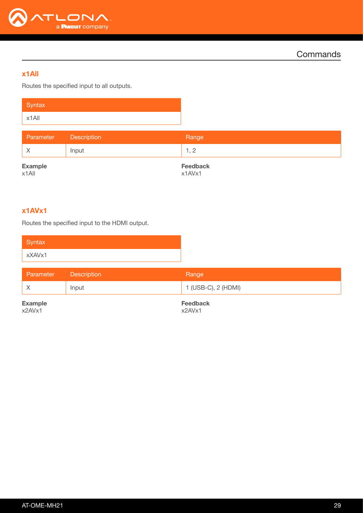

## x1All

Routes the specified input to all outputs.

| Syntax                     |             |                           |
|----------------------------|-------------|---------------------------|
| $x1$ All                   |             |                           |
| Parameter                  | Description | Range                     |
| $\times$                   | Input       | 1, 2                      |
| <b>Example</b><br>$x1$ All |             | <b>Feedback</b><br>x1AVx1 |

## <span id="page-28-0"></span>x1AVx1

Routes the specified input to the HDMI output.

| <b>Parameter</b>                  | Description | Range               |
|-----------------------------------|-------------|---------------------|
|                                   | Input       | 1 (USB-C), 2 (HDMI) |
| <b>Example</b><br><b>Feedback</b> |             |                     |

x2AVx1

Example x2AVx1